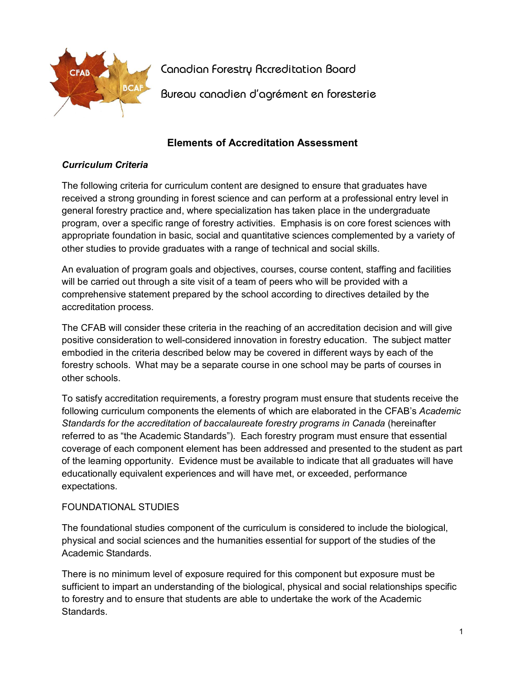

Canadian Forestry Accreditation Board

Bureau canadien d'agrément en foresterie

# **Elements of Accreditation Assessment**

# *Curriculum Criteria*

The following criteria for curriculum content are designed to ensure that graduates have received a strong grounding in forest science and can perform at a professional entry level in general forestry practice and, where specialization has taken place in the undergraduate program, over a specific range of forestry activities. Emphasis is on core forest sciences with appropriate foundation in basic, social and quantitative sciences complemented by a variety of other studies to provide graduates with a range of technical and social skills.

An evaluation of program goals and objectives, courses, course content, staffing and facilities will be carried out through a site visit of a team of peers who will be provided with a comprehensive statement prepared by the school according to directives detailed by the accreditation process.

The CFAB will consider these criteria in the reaching of an accreditation decision and will give positive consideration to well-considered innovation in forestry education. The subject matter embodied in the criteria described below may be covered in different ways by each of the forestry schools. What may be a separate course in one school may be parts of courses in other schools.

To satisfy accreditation requirements, a forestry program must ensure that students receive the following curriculum components the elements of which are elaborated in the CFAB's *Academic Standards for the accreditation of baccalaureate forestry programs in Canada* (hereinafter referred to as "the Academic Standards"). Each forestry program must ensure that essential coverage of each component element has been addressed and presented to the student as part of the learning opportunity. Evidence must be available to indicate that all graduates will have educationally equivalent experiences and will have met, or exceeded, performance expectations.

### FOUNDATIONAL STUDIES

The foundational studies component of the curriculum is considered to include the biological, physical and social sciences and the humanities essential for support of the studies of the Academic Standards.

There is no minimum level of exposure required for this component but exposure must be sufficient to impart an understanding of the biological, physical and social relationships specific to forestry and to ensure that students are able to undertake the work of the Academic **Standards**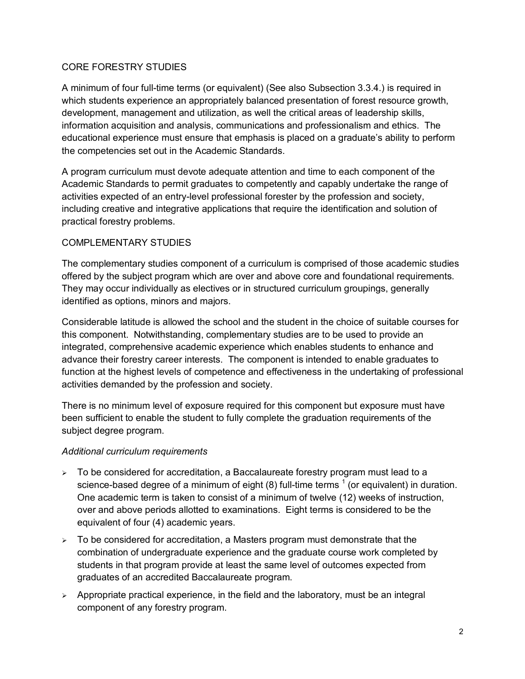### CORE FORESTRY STUDIES

A minimum of four full-time terms (or equivalent) (See also Subsection 3.3.4.) is required in which students experience an appropriately balanced presentation of forest resource growth, development, management and utilization, as well the critical areas of leadership skills, information acquisition and analysis, communications and professionalism and ethics. The educational experience must ensure that emphasis is placed on a graduate's ability to perform the competencies set out in the Academic Standards.

A program curriculum must devote adequate attention and time to each component of the Academic Standards to permit graduates to competently and capably undertake the range of activities expected of an entry-level professional forester by the profession and society, including creative and integrative applications that require the identification and solution of practical forestry problems.

#### COMPLEMENTARY STUDIES

The complementary studies component of a curriculum is comprised of those academic studies offered by the subject program which are over and above core and foundational requirements. They may occur individually as electives or in structured curriculum groupings, generally identified as options, minors and majors.

Considerable latitude is allowed the school and the student in the choice of suitable courses for this component. Notwithstanding, complementary studies are to be used to provide an integrated, comprehensive academic experience which enables students to enhance and advance their forestry career interests. The component is intended to enable graduates to function at the highest levels of competence and effectiveness in the undertaking of professional activities demanded by the profession and society.

There is no minimum level of exposure required for this component but exposure must have been sufficient to enable the student to fully complete the graduation requirements of the subject degree program.

#### *Additional curriculum requirements*

- $\geq$  To be considered for accreditation, a Baccalaureate forestry program must lead to a science-based degree of a minimum of eight (8) full-time terms  $<sup>1</sup>$  (or equivalent) in duration.</sup> One academic term is taken to consist of a minimum of twelve (12) weeks of instruction, over and above periods allotted to examinations. Eight terms is considered to be the equivalent of four (4) academic years.
- $\triangleright$  To be considered for accreditation, a Masters program must demonstrate that the combination of undergraduate experience and the graduate course work completed by students in that program provide at least the same level of outcomes expected from graduates of an accredited Baccalaureate program.
- $\triangleright$  Appropriate practical experience, in the field and the laboratory, must be an integral component of any forestry program.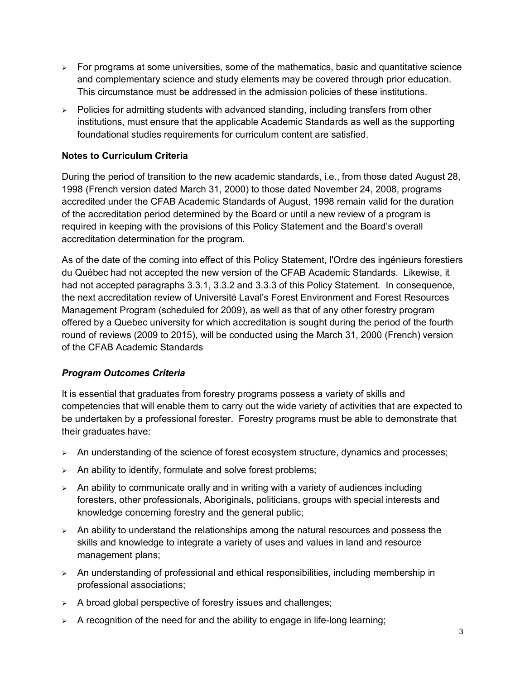- $\geq$  For programs at some universities, some of the mathematics, basic and quantitative science and complementary science and study elements may be covered through prior education. This circumstance must be addressed in the admission policies of these institutions.
- $\ge$  Policies for admitting students with advanced standing, including transfers from other institutions, must ensure that the applicable Academic Standards as well as the supporting foundational studies requirements for curriculum content are satisfied.

# **Notes to Curriculum Criteria**

During the period of transition to the new academic standards, i.e., from those dated August 28, 1998 (French version dated March 31, 2000) to those dated November 24, 2008, programs accredited under the CFAB Academic Standards of August, 1998 remain valid for the duration of the accreditation period determined by the Board or until a new review of a program is required in keeping with the provisions of this Policy Statement and the Board's overall accreditation determination for the program.

As of the date of the coming into effect of this Policy Statement, l'Ordre des ingénieurs forestiers du Québec had not accepted the new version of the CFAB Academic Standards. Likewise, it had not accepted paragraphs 3.3.1, 3.3.2 and 3.3.3 of this Policy Statement. In consequence, the next accreditation review of Université Laval's Forest Environment and Forest Resources Management Program (scheduled for 2009), as well as that of any other forestry program offered by a Quebec university for which accreditation is sought during the period of the fourth round of reviews (2009 to 2015), will be conducted using the March 31, 2000 (French) version of the CFAB Academic Standards

### *Program Outcomes Criteria*

It is essential that graduates from forestry programs possess a variety of skills and competencies that will enable them to carry out the wide variety of activities that are expected to be undertaken by a professional forester. Forestry programs must be able to demonstrate that their graduates have:

- $\geq$  An understanding of the science of forest ecosystem structure, dynamics and processes;
- $\triangleright$  An ability to identify, formulate and solve forest problems;
- $\geq$  An ability to communicate orally and in writing with a variety of audiences including foresters, other professionals, Aboriginals, politicians, groups with special interests and knowledge concerning forestry and the general public;
- $\geq$  An ability to understand the relationships among the natural resources and possess the skills and knowledge to integrate a variety of uses and values in land and resource management plans;
- $\triangleright$  An understanding of professional and ethical responsibilities, including membership in professional associations;
- $\geq$  A broad global perspective of forestry issues and challenges;
- $\triangleright$  A recognition of the need for and the ability to engage in life-long learning;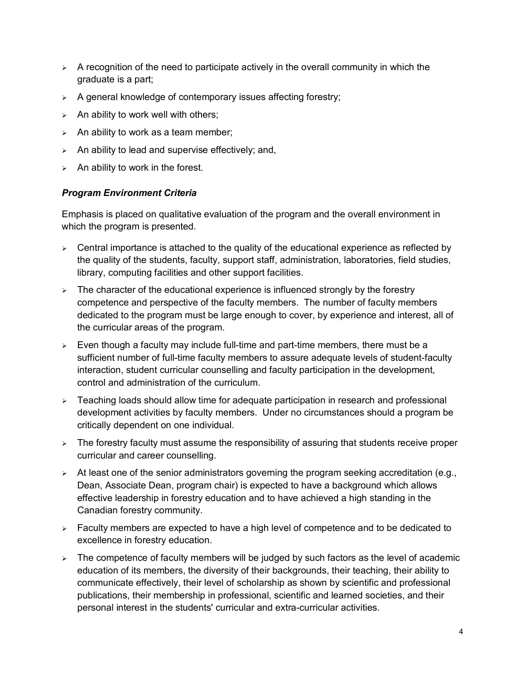- $\geq$  A recognition of the need to participate actively in the overall community in which the graduate is a part;
- $\triangleright$  A general knowledge of contemporary issues affecting forestry;
- $\geq$  An ability to work well with others;
- $\geq$  An ability to work as a team member;
- $\geq$  An ability to lead and supervise effectively; and,
- $\geq$  An ability to work in the forest.

## *Program Environment Criteria*

Emphasis is placed on qualitative evaluation of the program and the overall environment in which the program is presented.

- $\geq$  Central importance is attached to the quality of the educational experience as reflected by the quality of the students, faculty, support staff, administration, laboratories, field studies, library, computing facilities and other support facilities.
- $\triangleright$  The character of the educational experience is influenced strongly by the forestry competence and perspective of the faculty members. The number of faculty members dedicated to the program must be large enough to cover, by experience and interest, all of the curricular areas of the program.
- $\geq$  Even though a faculty may include full-time and part-time members, there must be a sufficient number of full-time faculty members to assure adequate levels of student-faculty interaction, student curricular counselling and faculty participation in the development, control and administration of the curriculum.
- $\triangleright$  Teaching loads should allow time for adequate participation in research and professional development activities by faculty members. Under no circumstances should a program be critically dependent on one individual.
- $\triangleright$  The forestry faculty must assume the responsibility of assuring that students receive proper curricular and career counselling.
- $\geq$  At least one of the senior administrators governing the program seeking accreditation (e.g., Dean, Associate Dean, program chair) is expected to have a background which allows effective leadership in forestry education and to have achieved a high standing in the Canadian forestry community.
- $\triangleright$  Faculty members are expected to have a high level of competence and to be dedicated to excellence in forestry education.
- $\geq$  The competence of faculty members will be judged by such factors as the level of academic education of its members, the diversity of their backgrounds, their teaching, their ability to communicate effectively, their level of scholarship as shown by scientific and professional publications, their membership in professional, scientific and learned societies, and their personal interest in the students' curricular and extra-curricular activities.